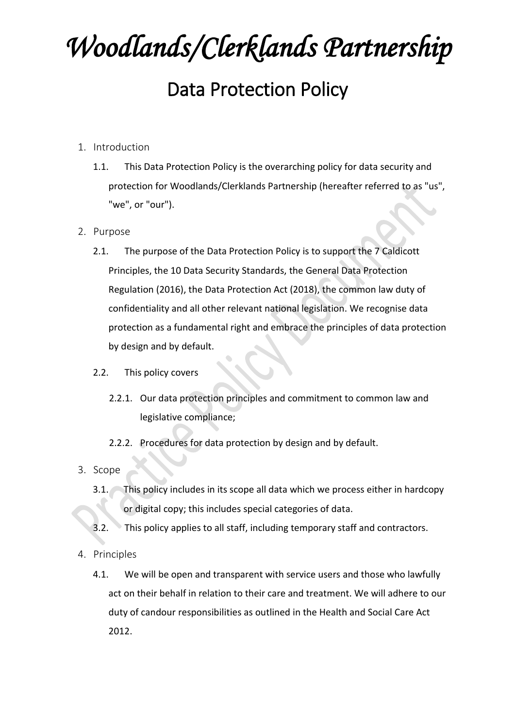## *Woodlands/Clerklands Partnership*  Data Protection Policy

- 1. Introduction
	- 1.1. This Data Protection Policy is the overarching policy for data security and protection for Woodlands/Clerklands Partnership (hereafter referred to as "us", "we", or "our").

## 2. Purpose

- 2.1. The purpose of the Data Protection Policy is to support the 7 Caldicott Principles, the 10 Data Security Standards, the General Data Protection Regulation (2016), the Data Protection Act (2018), the common law duty of confidentiality and all other relevant national legislation. We recognise data protection as a fundamental right and embrace the principles of data protection by design and by default.
- 2.2. This policy covers
	- 2.2.1. Our data protection principles and commitment to common law and legislative compliance;
	- 2.2.2. Procedures for data protection by design and by default.
- 3. Scope
	- 3.1. This policy includes in its scope all data which we process either in hardcopy or digital copy; this includes special categories of data.
	- 3.2. This policy applies to all staff, including temporary staff and contractors.
- 4. Principles
	- 4.1. We will be open and transparent with service users and those who lawfully act on their behalf in relation to their care and treatment. We will adhere to our duty of candour responsibilities as outlined in the Health and Social Care Act 2012.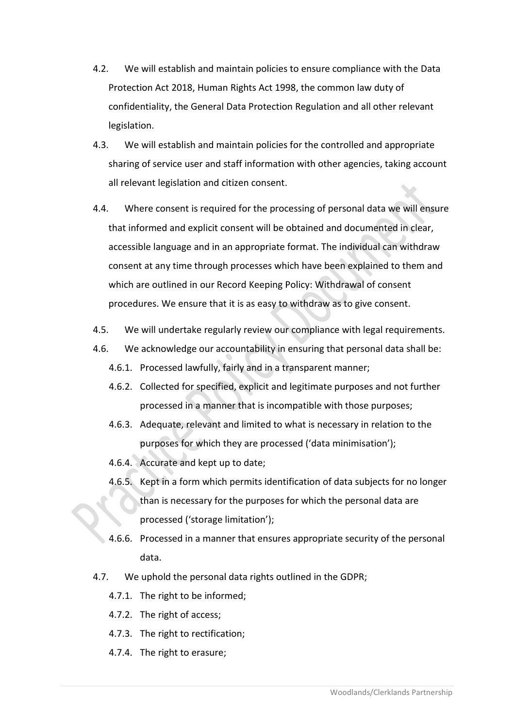- 4.2. We will establish and maintain policies to ensure compliance with the Data Protection Act 2018, Human Rights Act 1998, the common law duty of confidentiality, the General Data Protection Regulation and all other relevant legislation.
- 4.3. We will establish and maintain policies for the controlled and appropriate sharing of service user and staff information with other agencies, taking account all relevant legislation and citizen consent.
- 4.4. Where consent is required for the processing of personal data we will ensure that informed and explicit consent will be obtained and documented in clear, accessible language and in an appropriate format. The individual can withdraw consent at any time through processes which have been explained to them and which are outlined in our Record Keeping Policy: Withdrawal of consent procedures. We ensure that it is as easy to withdraw as to give consent.
- 4.5. We will undertake regularly review our compliance with legal requirements.
- 4.6. We acknowledge our accountability in ensuring that personal data shall be:
	- 4.6.1. Processed lawfully, fairly and in a transparent manner;
	- 4.6.2. Collected for specified, explicit and legitimate purposes and not further processed in a manner that is incompatible with those purposes;
	- 4.6.3. Adequate, relevant and limited to what is necessary in relation to the purposes for which they are processed ('data minimisation');
	- 4.6.4. Accurate and kept up to date;
	- 4.6.5. Kept in a form which permits identification of data subjects for no longer than is necessary for the purposes for which the personal data are processed ('storage limitation');
	- 4.6.6. Processed in a manner that ensures appropriate security of the personal data.
- 4.7. We uphold the personal data rights outlined in the GDPR;
	- 4.7.1. The right to be informed;
	- 4.7.2. The right of access;
	- 4.7.3. The right to rectification;
	- 4.7.4. The right to erasure;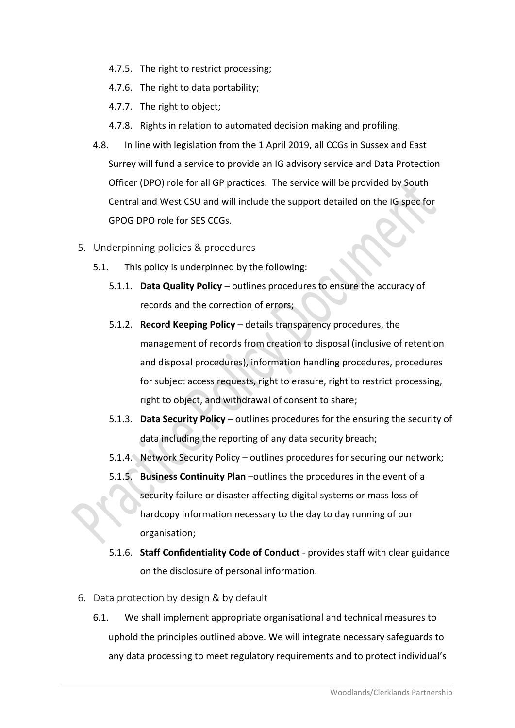- 4.7.5. The right to restrict processing;
- 4.7.6. The right to data portability;
- 4.7.7. The right to object;
- 4.7.8. Rights in relation to automated decision making and profiling.
- 4.8. In line with legislation from the 1 April 2019, all CCGs in Sussex and East Surrey will fund a service to provide an IG advisory service and Data Protection Officer (DPO) role for all GP practices. The service will be provided by South Central and West CSU and will include the support detailed on the IG spec for GPOG DPO role for SES CCGs.
- 5. Underpinning policies & procedures
	- 5.1. This policy is underpinned by the following:
		- 5.1.1. **Data Quality Policy** outlines procedures to ensure the accuracy of records and the correction of errors;
		- 5.1.2. **Record Keeping Policy** details transparency procedures, the management of records from creation to disposal (inclusive of retention and disposal procedures), information handling procedures, procedures for subject access requests, right to erasure, right to restrict processing, right to object, and withdrawal of consent to share;
		- 5.1.3. **Data Security Policy** outlines procedures for the ensuring the security of data including the reporting of any data security breach;
		- 5.1.4. Network Security Policy outlines procedures for securing our network;
		- 5.1.5. **Business Continuity Plan** –outlines the procedures in the event of a security failure or disaster affecting digital systems or mass loss of hardcopy information necessary to the day to day running of our organisation;
		- 5.1.6. **Staff Confidentiality Code of Conduct** provides staff with clear guidance on the disclosure of personal information.
- 6. Data protection by design & by default
	- 6.1. We shall implement appropriate organisational and technical measures to uphold the principles outlined above. We will integrate necessary safeguards to any data processing to meet regulatory requirements and to protect individual's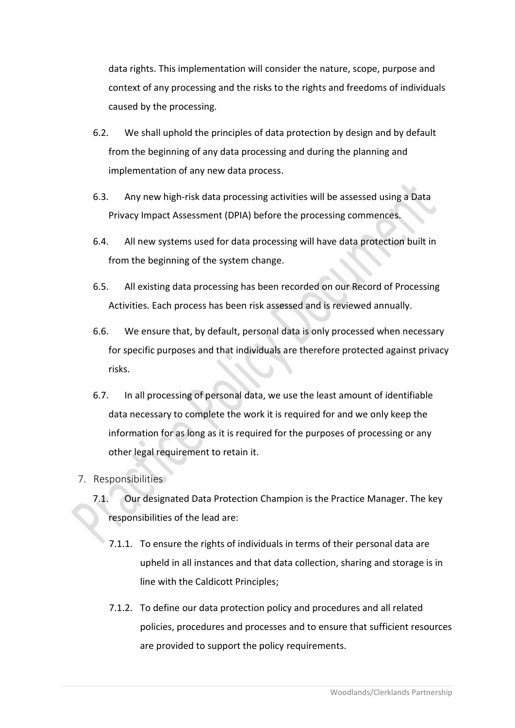data rights. This implementation will consider the nature, scope, purpose and context of any processing and the risks to the rights and freedoms of individuals caused by the processing.

- 6.2. We shall uphold the principles of data protection by design and by default from the beginning of any data processing and during the planning and implementation of any new data process.
- 6.3. Any new high-risk data processing activities will be assessed using a Data Privacy Impact Assessment (DPIA) before the processing commences.
- 6.4. All new systems used for data processing will have data protection built in from the beginning of the system change.
- 6.5. All existing data processing has been recorded on our Record of Processing Activities. Each process has been risk assessed and is reviewed annually.
- 6.6. We ensure that, by default, personal data is only processed when necessary for specific purposes and that individuals are therefore protected against privacy risks.
- 6.7. In all processing of personal data, we use the least amount of identifiable data necessary to complete the work it is required for and we only keep the information for as long as it is required for the purposes of processing or any other legal requirement to retain it.
- 7. Responsibilities
	- 7.1. Our designated Data Protection Champion is the Practice Manager. The key responsibilities of the lead are:
		- 7.1.1. To ensure the rights of individuals in terms of their personal data are upheld in all instances and that data collection, sharing and storage is in line with the Caldicott Principles;
		- 7.1.2. To define our data protection policy and procedures and all related policies, procedures and processes and to ensure that sufficient resources are provided to support the policy requirements.